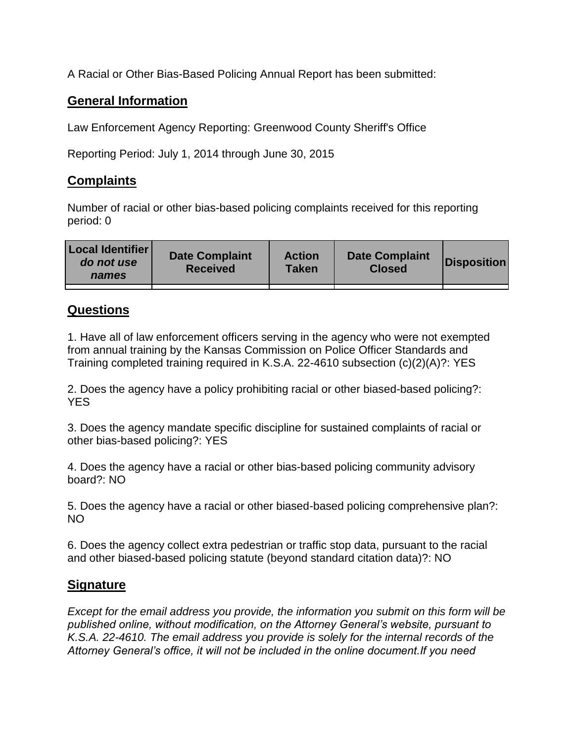A Racial or Other Bias-Based Policing Annual Report has been submitted:

## **General Information**

Law Enforcement Agency Reporting: Greenwood County Sheriff's Office

Reporting Period: July 1, 2014 through June 30, 2015

## **Complaints**

Number of racial or other bias-based policing complaints received for this reporting period: 0

| <b>Local Identifier</b><br>do not use<br>names | <b>Date Complaint</b><br><b>Received</b> | <b>Action</b><br><b>Taken</b> | <b>Date Complaint</b><br><b>Closed</b> | Disposition |
|------------------------------------------------|------------------------------------------|-------------------------------|----------------------------------------|-------------|
|                                                |                                          |                               |                                        |             |

## **Questions**

1. Have all of law enforcement officers serving in the agency who were not exempted from annual training by the Kansas Commission on Police Officer Standards and Training completed training required in K.S.A. 22-4610 subsection (c)(2)(A)?: YES

2. Does the agency have a policy prohibiting racial or other biased-based policing?: YES

3. Does the agency mandate specific discipline for sustained complaints of racial or other bias-based policing?: YES

4. Does the agency have a racial or other bias-based policing community advisory board?: NO

5. Does the agency have a racial or other biased-based policing comprehensive plan?: NO

6. Does the agency collect extra pedestrian or traffic stop data, pursuant to the racial and other biased-based policing statute (beyond standard citation data)?: NO

## **Signature**

*Except for the email address you provide, the information you submit on this form will be published online, without modification, on the Attorney General's website, pursuant to K.S.A. 22-4610. The email address you provide is solely for the internal records of the Attorney General's office, it will not be included in the online document.If you need*